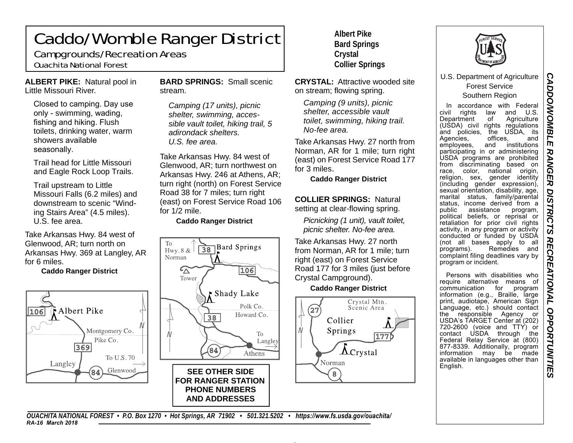### Caddo/Womble Ranger District Campgrounds/Recreation Areas

## Ouachita National Forest

**ALBERT PIKE:** Natural pool in Little Missouri River.

Closed to camping. Day use only - swimming, wading, fishing and hiking. Flush toilets, drinking water, warm showers available seasonally.

Trail head for Little Missouri and Eagle Rock Loop Trails.

Trail upstream to Little Missouri Falls (6.2 miles) and downstream to scenic "Winding Stairs Area" (4.5 miles). U.S. fee area.

Take Arkansas Hwy. 84 west of Glenwood, AR; turn north on Arkansas Hwy. 369 at Langley, AR for 6 miles.

#### **Caddo Ranger District**



**BARD SPRINGS:** Small scenic stream.

*Camping (17 units), picnic shelter, swimming, accessible vault toilet, hiking trail, 5 adirondack shelters. U.S. fee area.* 

Take Arkansas Hwy. 84 west of Glenwood, AR; turn northwest on Arkansas Hwy. 246 at Athens, AR; turn right (north) on Forest Service Road 38 for 7 miles; turn right (east) on Forest Service Road 106 for 1/2 mile.

**Caddo Ranger District** 



**Albert Pike Bard Springs Crystal Collier Springs** 

**CRYSTAL:** Attractive wooded site on stream; flowing spring.

*Camping (9 units), picnic shelter, accessible vault toilet, swimming, hiking trail. No-fee area.* 

Take Arkansas Hwy. 27 north from Norman, AR for 1 mile; turn right (east) on Forest Service Road 177 for 3 miles.

**Caddo Ranger District** 

**COLLIER SPRINGS:** Natural setting at clear-flowing spring.

*Picnicking (1 unit), vault toilet, picnic shelter. No-fee area.* 

Take Arkansas Hwy. 27 north from Norman, AR for 1 mile; turn right (east) on Forest Service Road 177 for 3 miles (just before Crystal Campground).

### **Caddo Ranger District**





U.S. Department of Agriculture Forest Service Southern Region

In accordance with Federal and U.S. civil rights law<br>Department of Department of Agriculture (USDA) civil rights regulations and policies, the USDA, its and Agencies, offices,<br>emplovees, and in institutions employees, participating in or administering USDA programs are prohibited from discriminating based on race, color, national origin, religion, sex, gender identity (including gender expression), sexual orientation, disability, age, marital status, family/parental status, income derived from a program, public assistance political beliefs, or reprisal or retaliation for prior civil rights activity, in any program or activity conducted or funded by USDA (not all bases apply to all programs). Remedies and complaint filing deadlines vary by program or incident.

Persons with disabilities who require alternative means of communication for program information (e.g., Braille, large print, audiotape, American Sign Language, etc.) should contact or the responsible Agency USDA's TARGET Center at (202) 720-2600 (voice and TTY) or contact USDA through the Federal Relay Service at (800) 877-8339. Additionally, program information may be made available in languages other than English.

CADDO/WOMBLE